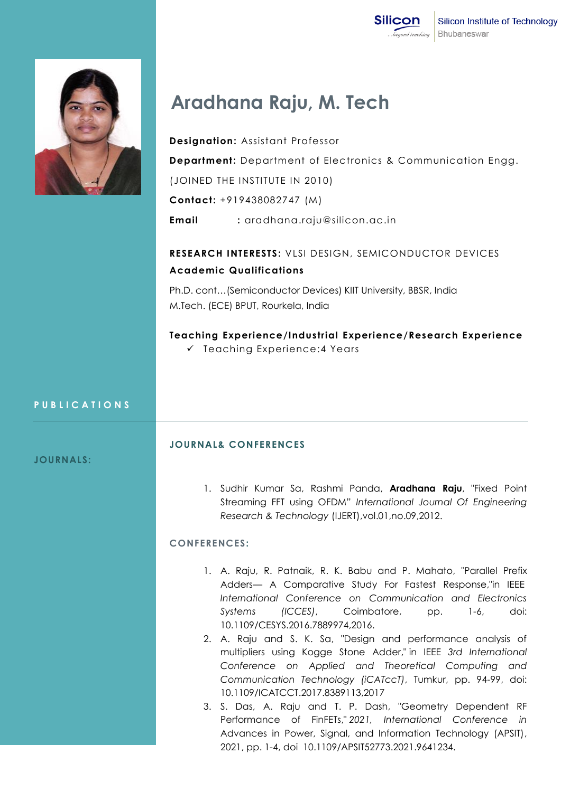



# **Aradhana Raju, M. Tech**

**Designation:** Assistant Professor **Department:** Department of Electronics & Communication Engg. (JOINED THE INSTITUTE IN 2010) **Contact:** +919438082747 (M)

**Email :** aradhana.raju@silicon.ac.in

# **RESEARCH INTERESTS:** VLSI DESIGN, SEMICONDUCTOR DEVICES **Academic Qualifications**

Ph.D. cont…(Semiconductor Devices) KIIT University, BBSR, India M.Tech. (ECE) BPUT, Rourkela, India

**Teaching Experience/Industrial Experience/Research Experience**  $\checkmark$  Teaching Experience: 4 Years

#### **P U B L I C A T I O N S**

#### **JOURNALS:**

#### **JOURNAL& CONFERENCES**

1. Sudhir Kumar Sa, Rashmi Panda, **Aradhana Raju**, "Fixed Point Streaming FFT using OFDM" *International Journal Of Engineering Research & Technology* (IJERT),vol.01,no.09,2012.

## **CONFERENCES:**

- 1. A. Raju, R. Patnaik, R. K. Babu and P. Mahato, "Parallel Prefix Adders— A Comparative Study For Fastest Response,"in IEEE *International Conference on Communication and Electronics Systems (ICCES)*, Coimbatore, pp. 1-6, doi: 10.1109/CESYS.2016.7889974,2016.
- 2. A. Raju and S. K. Sa, "Design and performance analysis of multipliers using Kogge Stone Adder," in IEEE *3rd International Conference on Applied and Theoretical Computing and Communication Technology (iCATccT)*, Tumkur, pp. 94-99, doi: 10.1109/ICATCCT.2017.8389113,2017
- 3. S. Das, A. Raju and T. P. Dash, "Geometry Dependent RF Performance of FinFETs," *2021, International Conference in*  Advances in Power, Signal, and Information Technology (APSIT), 2021, pp. 1-4, doi 10.1109/APSIT52773.2021.9641234.